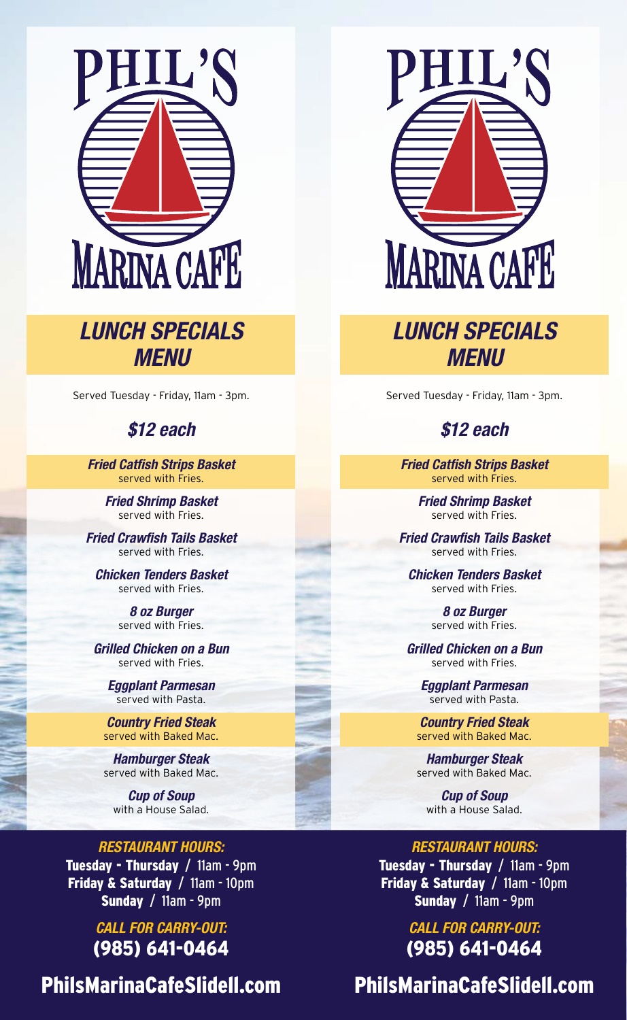

# *LUNCH SPECIALS MENU*

Served Tuesday - Friday, 11am - 3pm.

## *\$12 each*

*Fried Catfish Strips Basket* served with Fries.

> *Fried Shrimp Basket* served with Fries.

*Fried Crawfish Tails Basket* served with Fries.

*Chicken Tenders Basket* served with Fries.

> *8 oz Burger* served with Fries.

*Grilled Chicken on a Bun* served with Fries.

*Eggplant Parmesan* served with Pasta.

*Country Fried Steak* served with Baked Mac.

*Hamburger Steak* served with Baked Mac.

*Cup of Soup* with a House Salad.

#### *RESTAURANT HOURS:*

Tuesday - Thursday / 11am - 9pm Friday & Saturday / 11am - 10pm Sunday / 11am - 9pm

> *CALL FOR CARRY-OUT:* (985) 641-0464

PhilsMarinaCafeSlidell.com



## *LUNCH SPECIALS MENU*

Served Tuesday - Friday, 11am - 3pm.

### *\$12 each*

*Fried Catfish Strips Basket* served with Fries.

> *Fried Shrimp Basket* served with Fries.

*Fried Crawfish Tails Basket* served with Fries.

*Chicken Tenders Basket* served with Fries.

> *8 oz Burger* served with Fries.

*Grilled Chicken on a Bun* served with Fries.

*Eggplant Parmesan* served with Pasta.

*Country Fried Steak* served with Baked Mac.

*Hamburger Steak* served with Baked Mac.

*Cup of Soup* with a House Salad.

*RESTAURANT HOURS:* Tuesday - Thursday / 11am - 9pm Friday & Saturday / 11am - 10pm Sunday / 11am - 9pm

> *CALL FOR CARRY-OUT:* (985) 641-0464

PhilsMarinaCafeSlidell.com